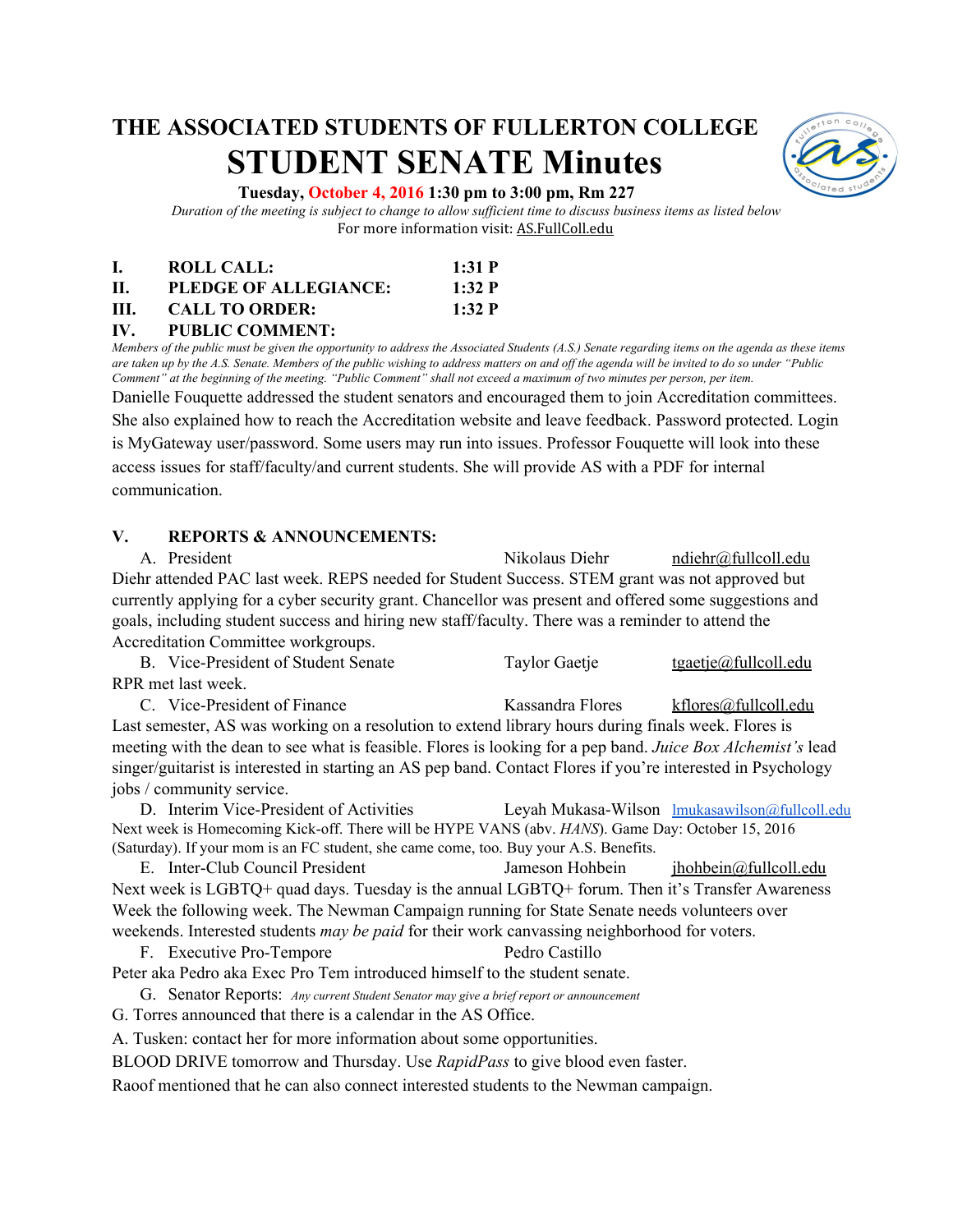# **THE ASSOCIATED STUDENTS OF FULLERTON COLLEGE STUDENT SENATE Minutes**



#### **Tuesday, October 4, 2016 1:30 pm to 3:00 pm, Rm 227**

*Duration of the meeting is subject to change to allow sufficient time to discuss business items as listed below* For more information visit: AS.FullColl.edu

| I. | <b>ROLL CALL:</b>     | 1:31 P |
|----|-----------------------|--------|
| Н. | PLEDGE OF ALLEGIANCE: | 1:32 P |
| Ш. | <b>CALL TO ORDER:</b> | 1:32 P |

#### **IV. PUBLIC COMMENT:**

*Members of the public must be given the opportunity to address the Associated Students (A.S.) Senate regarding items on the agenda as these items are taken up by the A.S. Senate. Members of the public wishing to address matters on and off the agenda will be invited to do so under "Public Comment" at the beginning of the meeting. "Public Comment" shall not exceed a maximum of two minutes per person, per item.*

Danielle Fouquette addressed the student senators and encouraged them to join Accreditation committees. She also explained how to reach the Accreditation website and leave feedback. Password protected. Login is MyGateway user/password. Some users may run into issues. Professor Fouquette will look into these access issues for staff/faculty/and current students. She will provide AS with a PDF for internal communication.

#### **V. REPORTS & ANNOUNCEMENTS:**

A. President Nikolaus Diehr [ndiehr@fullcoll.edu](mailto:ndiehr@fullcoll.edu) Diehr attended PAC last week. REPS needed for Student Success. STEM grant was not approved but currently applying for a cyber security grant. Chancellor was present and offered some suggestions and goals, including student success and hiring new staff/faculty. There was a reminder to attend the Accreditation Committee workgroups.

B. Vice-President of Student Senate Taylor Gaetje [tgaetje@fullcoll.edu](mailto:tgaetje@fullcoll.edu) RPR met last week.

C. Vice-President of Finance Kassandra Flores [kflores@fullcoll.edu](mailto:kflores@fullcoll.edu) Last semester, AS was working on a resolution to extend library hours during finals week. Flores is meeting with the dean to see what is feasible. Flores is looking for a pep band. *Juice Box Alchemist's* lead singer/guitarist is interested in starting an AS pep band. Contact Flores if you're interested in Psychology jobs / community service.

D. Interim Vice-President of Activities Leyah Mukasa-Wilson [lmukasawilson@fullcoll.edu](mailto:lmukasawilson@fullcoll.edu) Next week is Homecoming Kick-off. There will be HYPE VANS (abv. *HANS*). Game Day: October 15, 2016 (Saturday). If your mom is an FC student, she came come, too. Buy your A.S. Benefits.

E. Inter-Club Council President Jameson Hohbein [jhohbein@fullcoll.edu](mailto:jhohbein@fullcoll.edu) Next week is LGBTQ+ quad days. Tuesday is the annual LGBTQ+ forum. Then it's Transfer Awareness Week the following week. The Newman Campaign running for State Senate needs volunteers over weekends. Interested students *may be paid* for their work canvassing neighborhood for voters.

F. Executive Pro-Tempore Pedro Castillo

Peter aka Pedro aka Exec Pro Tem introduced himself to the student senate.

G. Senator Reports: *Any current Student Senator may give a brief report or announcement*

G. Torres announced that there is a calendar in the AS Office.

A. Tusken: contact her for more information about some opportunities.

BLOOD DRIVE tomorrow and Thursday. Use *RapidPass* to give blood even faster.

Raoof mentioned that he can also connect interested students to the Newman campaign.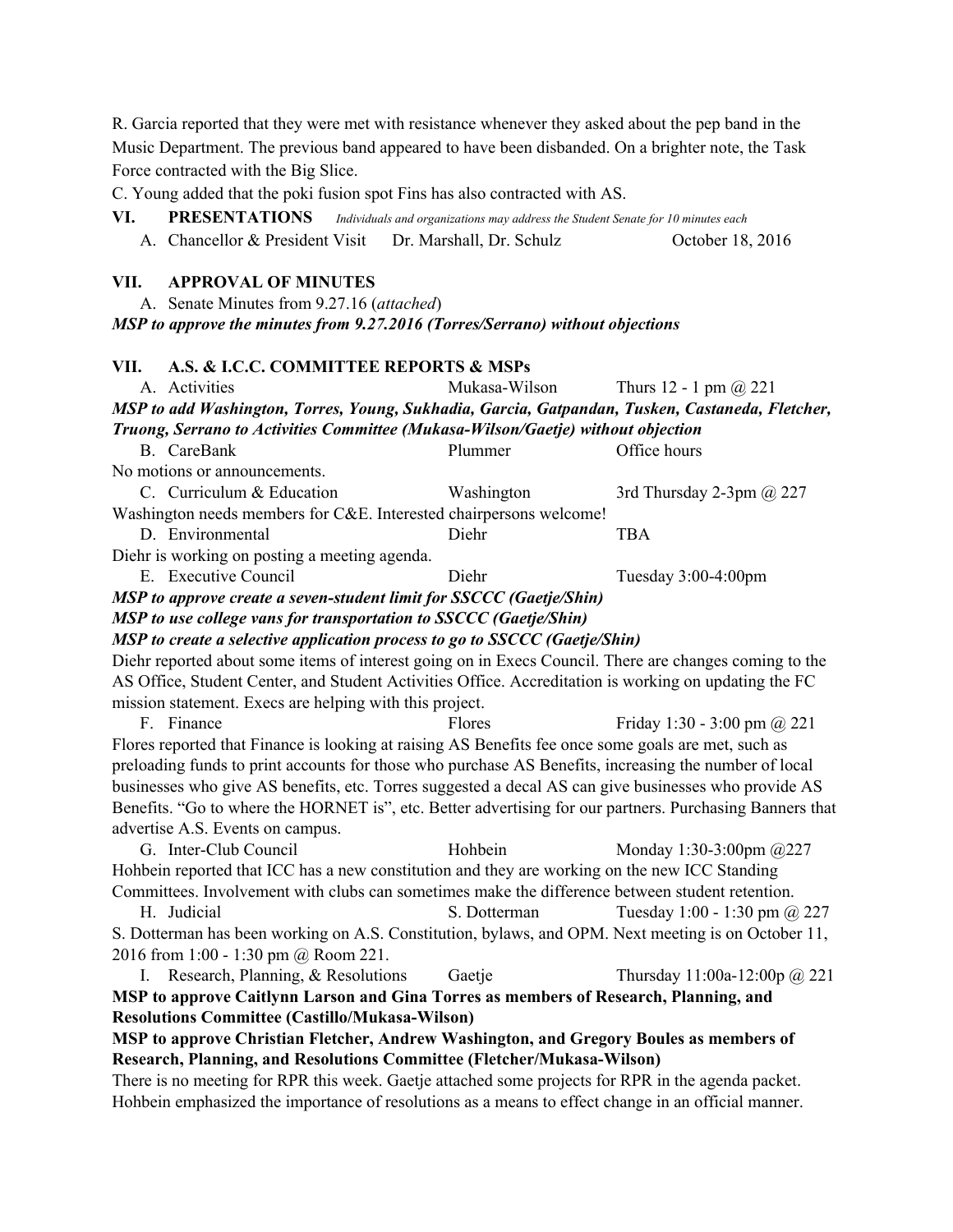R. Garcia reported that they were met with resistance whenever they asked about the pep band in the Music Department. The previous band appeared to have been disbanded. On a brighter note, the Task Force contracted with the Big Slice. C. Young added that the poki fusion spot Fins has also contracted with AS. **VI. PRESENTATIONS** *Individuals and organizations may address the Student Senate for 10 minutes each* A. Chancellor & President Visit Dr. Marshall, Dr. Schulz October 18, 2016 **VII. APPROVAL OF MINUTES** A. Senate Minutes from 9.27.16 (*attached*) *MSP to approve the minutes from 9.27.2016 (Torres/Serrano) without objections* **VII. A.S. & I.C.C. COMMITTEE REPORTS & MSPs** A. Activities Mukasa-Wilson Thurs 12 - 1 pm @ 221 *MSP to add Washington, Torres, Young, Sukhadia, Garcia, Gatpandan, Tusken, Castaneda, Fletcher, Truong, Serrano to Activities Committee (Mukasa-Wilson/Gaetje) without objection* B. CareBank Plummer Office hours No motions or announcements. C. Curriculum & Education Washington 3rd Thursday 2-3pm @ 227 Washington needs members for C&E. Interested chairpersons welcome! D. Environmental Diehr TBA Diehr is working on posting a meeting agenda. E. Executive Council Diehr Tuesday 3:00-4:00pm *MSP to approve create a seven-student limit for SSCCC (Gaetje/Shin) MSP to use college vans for transportation to SSCCC (Gaetje/Shin) MSP to create a selective application process to go to SSCCC (Gaetje/Shin)* Diehr reported about some items of interest going on in Execs Council. There are changes coming to the AS Office, Student Center, and Student Activities Office. Accreditation is working on updating the FC mission statement. Execs are helping with this project. F. Finance Flores Finday 1:30 - 3:00 pm  $\omega$  221 Flores reported that Finance is looking at raising AS Benefits fee once some goals are met, such as preloading funds to print accounts for those who purchase AS Benefits, increasing the number of local businesses who give AS benefits, etc. Torres suggested a decal AS can give businesses who provide AS Benefits. "Go to where the HORNET is", etc. Better advertising for our partners. Purchasing Banners that advertise A.S. Events on campus. G. Inter-Club Council Hohbein Monday 1:30-3:00pm @227 Hohbein reported that ICC has a new constitution and they are working on the new ICC Standing Committees. Involvement with clubs can sometimes make the difference between student retention. H. Judicial S. Dotterman Tuesday 1:00 - 1:30 pm @ 227 S. Dotterman has been working on A.S. Constitution, bylaws, and OPM. Next meeting is on October 11, 2016 from 1:00 - 1:30 pm @ Room 221. I. Research, Planning, & Resolutions Gaetje Thursday 11:00a-12:00p @ 221 **MSP to approve Caitlynn Larson and Gina Torres as members of Research, Planning, and Resolutions Committee (Castillo/Mukasa-Wilson) MSP to approve Christian Fletcher, Andrew Washington, and Gregory Boules as members of Research, Planning, and Resolutions Committee (Fletcher/Mukasa-Wilson)** There is no meeting for RPR this week. Gaetje attached some projects for RPR in the agenda packet. Hohbein emphasized the importance of resolutions as a means to effect change in an official manner.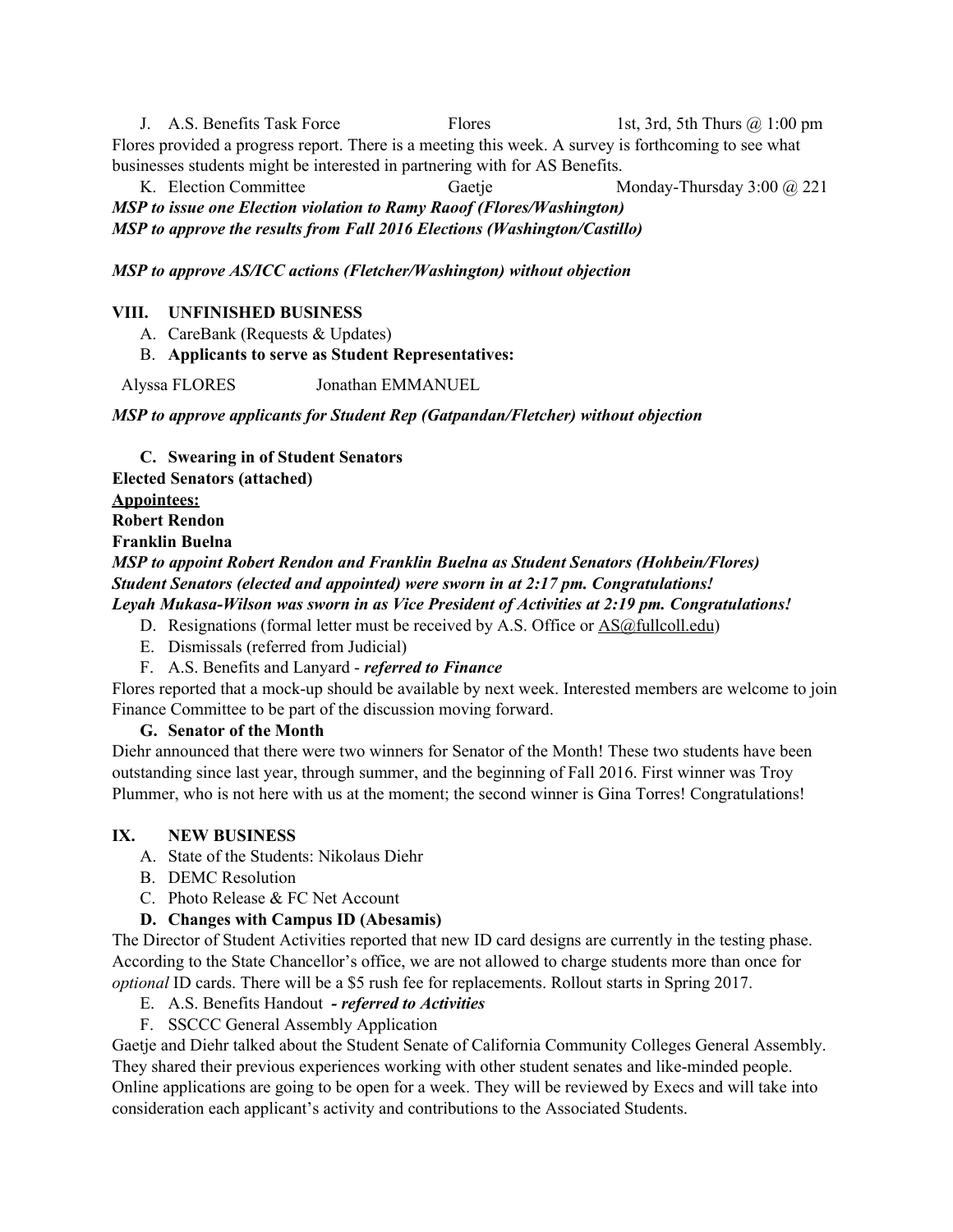J. A.S. Benefits Task Force Flores 1st, 3rd, 5th Thurs @ 1:00 pm Flores provided a progress report. There is a meeting this week. A survey is forthcoming to see what businesses students might be interested in partnering with for AS Benefits.

K. Election Committee Gaetje Monday-Thursday 3:00 @ 221 *MSP to issue one Election violation to Ramy Raoof (Flores/Washington) MSP to approve the results from Fall 2016 Elections (Washington/Castillo)*

*MSP to approve AS/ICC actions (Fletcher/Washington) without objection*

## **VIII. UNFINISHED BUSINESS**

A. CareBank (Requests & Updates)

## B. **Applicants to serve as Student Representatives:**

Alyssa FLORES Jonathan EMMANUEL

*MSP to approve applicants for Student Rep (Gatpandan/Fletcher) without objection*

**C. Swearing in of Student Senators Elected Senators (attached) Appointees: Robert Rendon Franklin Buelna** *MSP to appoint Robert Rendon and Franklin Buelna as Student Senators (Hohbein/Flores) Student Senators (elected and appointed) were sworn in at 2:17 pm. Congratulations! Leyah Mukasa-Wilson was sworn in as Vice President of Activities at 2:19 pm. Congratulations!*

- D. Resignations (formal letter must be received by A.S. Office or [AS@fullcoll.edu\)](mailto:AS@fullcoll.edu)
- E. Dismissals (referred from Judicial)
- F. A.S. Benefits and Lanyard *referred to Finance*

Flores reported that a mock-up should be available by next week. Interested members are welcome to join Finance Committee to be part of the discussion moving forward.

#### **G. Senator of the Month**

Diehr announced that there were two winners for Senator of the Month! These two students have been outstanding since last year, through summer, and the beginning of Fall 2016. First winner was Troy Plummer, who is not here with us at the moment; the second winner is Gina Torres! Congratulations!

#### **IX. NEW BUSINESS**

- A. State of the Students: Nikolaus Diehr
- B. DEMC Resolution
- C. Photo Release & FC Net Account
- **D. Changes with Campus ID (Abesamis)**

The Director of Student Activities reported that new ID card designs are currently in the testing phase. According to the State Chancellor's office, we are not allowed to charge students more than once for *optional* ID cards. There will be a \$5 rush fee for replacements. Rollout starts in Spring 2017.

- E. A.S. Benefits Handout  *referred to Activities*
- F. SSCCC General Assembly Application

Gaetje and Diehr talked about the Student Senate of California Community Colleges General Assembly. They shared their previous experiences working with other student senates and like-minded people. Online applications are going to be open for a week. They will be reviewed by Execs and will take into consideration each applicant's activity and contributions to the Associated Students.